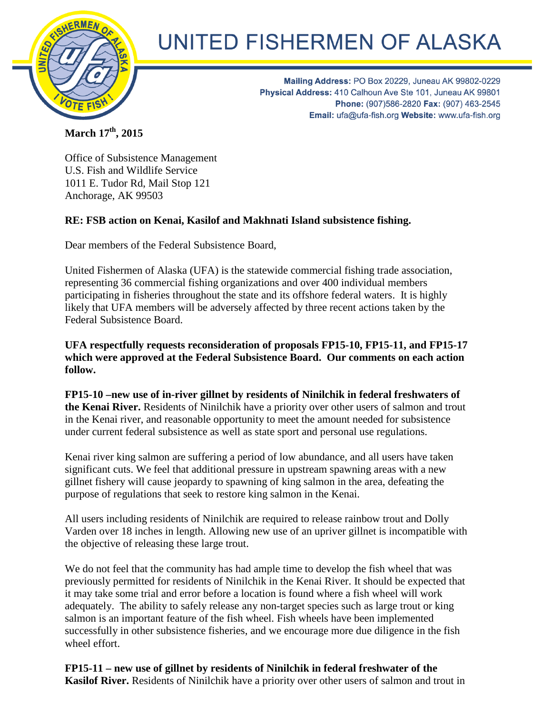

## UNITED FISHERMEN OF ALASKA

Mailing Address: PO Box 20229, Juneau AK 99802-0229 Physical Address: 410 Calhoun Ave Ste 101, Juneau AK 99801 Phone: (907)586-2820 Fax: (907) 463-2545 Email: ufa@ufa-fish.org Website: www.ufa-fish.org

**March 17th, 2015**

Office of Subsistence Management U.S. Fish and Wildlife Service 1011 E. Tudor Rd, Mail Stop 121 Anchorage, AK 99503

## **RE: FSB action on Kenai, Kasilof and Makhnati Island subsistence fishing.**

Dear members of the Federal Subsistence Board,

United Fishermen of Alaska (UFA) is the statewide commercial fishing trade association, representing 36 commercial fishing organizations and over 400 individual members participating in fisheries throughout the state and its offshore federal waters. It is highly likely that UFA members will be adversely affected by three recent actions taken by the Federal Subsistence Board.

**UFA respectfully requests reconsideration of proposals FP15-10, FP15-11, and FP15-17 which were approved at the Federal Subsistence Board. Our comments on each action follow.**

**FP15-10 –new use of in-river gillnet by residents of Ninilchik in federal freshwaters of the Kenai River.** Residents of Ninilchik have a priority over other users of salmon and trout in the Kenai river, and reasonable opportunity to meet the amount needed for subsistence under current federal subsistence as well as state sport and personal use regulations.

Kenai river king salmon are suffering a period of low abundance, and all users have taken significant cuts. We feel that additional pressure in upstream spawning areas with a new gillnet fishery will cause jeopardy to spawning of king salmon in the area, defeating the purpose of regulations that seek to restore king salmon in the Kenai.

All users including residents of Ninilchik are required to release rainbow trout and Dolly Varden over 18 inches in length. Allowing new use of an upriver gillnet is incompatible with the objective of releasing these large trout.

We do not feel that the community has had ample time to develop the fish wheel that was previously permitted for residents of Ninilchik in the Kenai River. It should be expected that it may take some trial and error before a location is found where a fish wheel will work adequately. The ability to safely release any non-target species such as large trout or king salmon is an important feature of the fish wheel. Fish wheels have been implemented successfully in other subsistence fisheries, and we encourage more due diligence in the fish wheel effort.

**FP15-11 – new use of gillnet by residents of Ninilchik in federal freshwater of the Kasilof River.** Residents of Ninilchik have a priority over other users of salmon and trout in